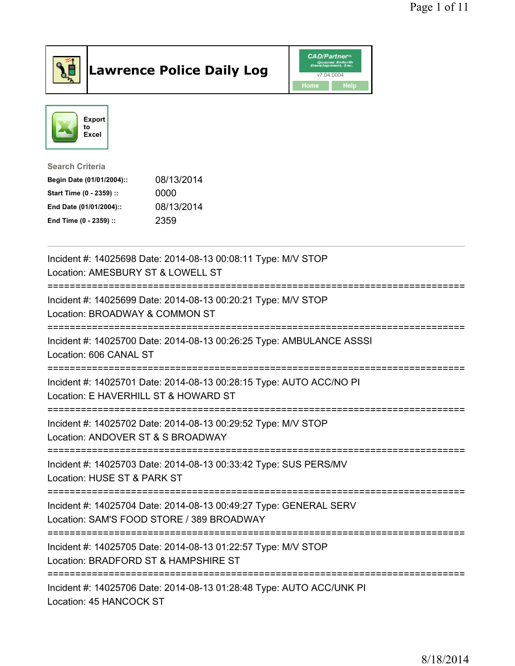

## Lawrence Police Daily Log Value of the CAD/Partner





Search Criteria

| Begin Date (01/01/2004):: | 08/13/2014 |
|---------------------------|------------|
| Start Time (0 - 2359) ::  | 0000       |
| End Date (01/01/2004)::   | 08/13/2014 |
| End Time (0 - 2359) ::    | 2359       |

| Incident #: 14025698 Date: 2014-08-13 00:08:11 Type: M/V STOP<br>Location: AMESBURY ST & LOWELL ST                                   |
|--------------------------------------------------------------------------------------------------------------------------------------|
| Incident #: 14025699 Date: 2014-08-13 00:20:21 Type: M/V STOP<br>Location: BROADWAY & COMMON ST                                      |
| Incident #: 14025700 Date: 2014-08-13 00:26:25 Type: AMBULANCE ASSSI<br>Location: 606 CANAL ST<br>.--------------------------------- |
| Incident #: 14025701 Date: 2014-08-13 00:28:15 Type: AUTO ACC/NO PI<br>Location: E HAVERHILL ST & HOWARD ST                          |
| Incident #: 14025702 Date: 2014-08-13 00:29:52 Type: M/V STOP<br>Location: ANDOVER ST & S BROADWAY                                   |
| Incident #: 14025703 Date: 2014-08-13 00:33:42 Type: SUS PERS/MV<br>Location: HUSE ST & PARK ST                                      |
| Incident #: 14025704 Date: 2014-08-13 00:49:27 Type: GENERAL SERV<br>Location: SAM'S FOOD STORE / 389 BROADWAY<br>===========        |
| Incident #: 14025705 Date: 2014-08-13 01:22:57 Type: M/V STOP<br>Location: BRADFORD ST & HAMPSHIRE ST                                |
| Incident #: 14025706 Date: 2014-08-13 01:28:48 Type: AUTO ACC/UNK PI<br>Location: 45 HANCOCK ST                                      |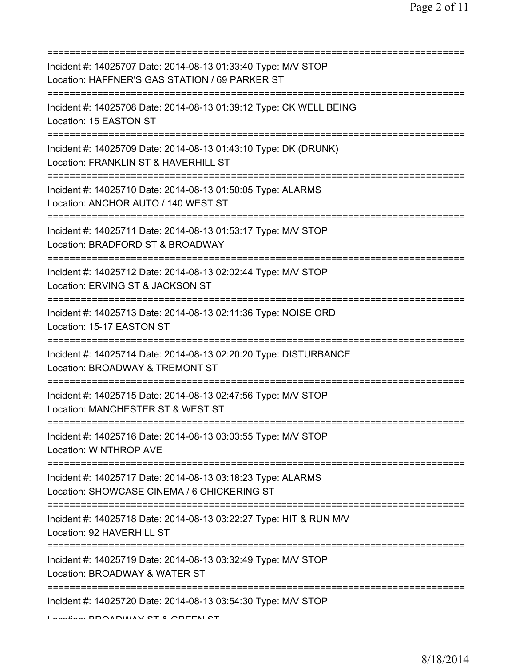| Incident #: 14025707 Date: 2014-08-13 01:33:40 Type: M/V STOP<br>Location: HAFFNER'S GAS STATION / 69 PARKER ST                           |
|-------------------------------------------------------------------------------------------------------------------------------------------|
| Incident #: 14025708 Date: 2014-08-13 01:39:12 Type: CK WELL BEING<br>Location: 15 EASTON ST                                              |
| Incident #: 14025709 Date: 2014-08-13 01:43:10 Type: DK (DRUNK)<br>Location: FRANKLIN ST & HAVERHILL ST<br>:============================= |
| Incident #: 14025710 Date: 2014-08-13 01:50:05 Type: ALARMS<br>Location: ANCHOR AUTO / 140 WEST ST                                        |
| Incident #: 14025711 Date: 2014-08-13 01:53:17 Type: M/V STOP<br>Location: BRADFORD ST & BROADWAY<br>------------------------             |
| Incident #: 14025712 Date: 2014-08-13 02:02:44 Type: M/V STOP<br>Location: ERVING ST & JACKSON ST<br>---------------------------          |
| Incident #: 14025713 Date: 2014-08-13 02:11:36 Type: NOISE ORD<br>Location: 15-17 EASTON ST                                               |
| Incident #: 14025714 Date: 2014-08-13 02:20:20 Type: DISTURBANCE<br>Location: BROADWAY & TREMONT ST                                       |
| Incident #: 14025715 Date: 2014-08-13 02:47:56 Type: M/V STOP<br>Location: MANCHESTER ST & WEST ST                                        |
| Incident #: 14025716 Date: 2014-08-13 03:03:55 Type: M/V STOP<br>Location: WINTHROP AVE                                                   |
| Incident #: 14025717 Date: 2014-08-13 03:18:23 Type: ALARMS<br>Location: SHOWCASE CINEMA / 6 CHICKERING ST                                |
| Incident #: 14025718 Date: 2014-08-13 03:22:27 Type: HIT & RUN M/V<br>Location: 92 HAVERHILL ST                                           |
| Incident #: 14025719 Date: 2014-08-13 03:32:49 Type: M/V STOP<br>Location: BROADWAY & WATER ST                                            |
| :=================================<br>Incident #: 14025720 Date: 2014-08-13 03:54:30 Type: M/V STOP<br>Lootion. DDAADWAV OT 0 ADEEN OT    |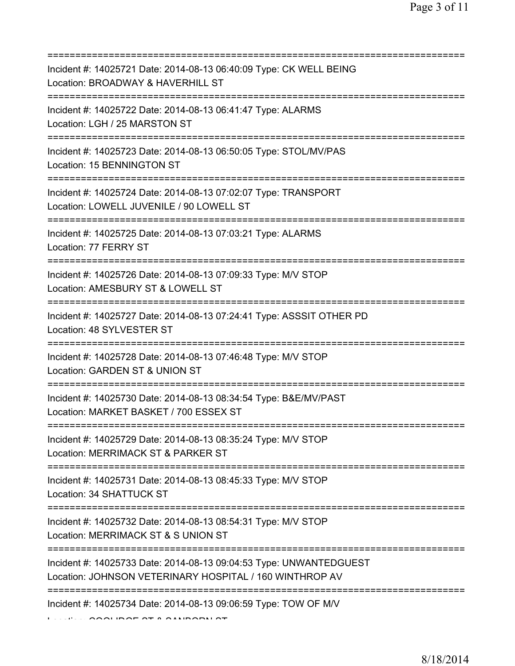| Incident #: 14025721 Date: 2014-08-13 06:40:09 Type: CK WELL BEING<br>Location: BROADWAY & HAVERHILL ST                                             |
|-----------------------------------------------------------------------------------------------------------------------------------------------------|
| =======================<br>Incident #: 14025722 Date: 2014-08-13 06:41:47 Type: ALARMS<br>Location: LGH / 25 MARSTON ST<br>======================== |
| Incident #: 14025723 Date: 2014-08-13 06:50:05 Type: STOL/MV/PAS<br>Location: 15 BENNINGTON ST                                                      |
| Incident #: 14025724 Date: 2014-08-13 07:02:07 Type: TRANSPORT<br>Location: LOWELL JUVENILE / 90 LOWELL ST                                          |
| Incident #: 14025725 Date: 2014-08-13 07:03:21 Type: ALARMS<br>Location: 77 FERRY ST                                                                |
| Incident #: 14025726 Date: 2014-08-13 07:09:33 Type: M/V STOP<br>Location: AMESBURY ST & LOWELL ST                                                  |
| Incident #: 14025727 Date: 2014-08-13 07:24:41 Type: ASSSIT OTHER PD<br>Location: 48 SYLVESTER ST                                                   |
| Incident #: 14025728 Date: 2014-08-13 07:46:48 Type: M/V STOP<br>Location: GARDEN ST & UNION ST<br>:=========                                       |
| Incident #: 14025730 Date: 2014-08-13 08:34:54 Type: B&E/MV/PAST<br>Location: MARKET BASKET / 700 ESSEX ST                                          |
| Incident #: 14025729 Date: 2014-08-13 08:35:24 Type: M/V STOP<br>Location: MERRIMACK ST & PARKER ST                                                 |
| Incident #: 14025731 Date: 2014-08-13 08:45:33 Type: M/V STOP<br>Location: 34 SHATTUCK ST                                                           |
| Incident #: 14025732 Date: 2014-08-13 08:54:31 Type: M/V STOP<br>Location: MERRIMACK ST & S UNION ST                                                |
| Incident #: 14025733 Date: 2014-08-13 09:04:53 Type: UNWANTEDGUEST<br>Location: JOHNSON VETERINARY HOSPITAL / 160 WINTHROP AV                       |
| Incident #: 14025734 Date: 2014-08-13 09:06:59 Type: TOW OF M/V                                                                                     |

CURCE OT A GANDORN OT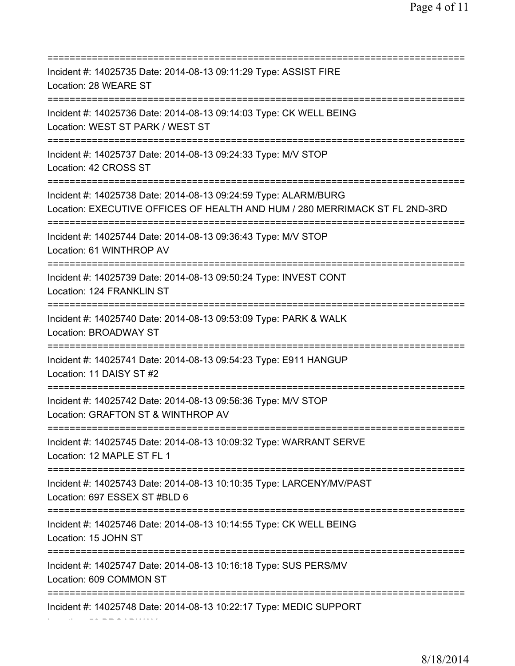| Incident #: 14025735 Date: 2014-08-13 09:11:29 Type: ASSIST FIRE<br>Location: 28 WEARE ST                                                      |
|------------------------------------------------------------------------------------------------------------------------------------------------|
| Incident #: 14025736 Date: 2014-08-13 09:14:03 Type: CK WELL BEING<br>Location: WEST ST PARK / WEST ST<br>======================               |
| Incident #: 14025737 Date: 2014-08-13 09:24:33 Type: M/V STOP<br>Location: 42 CROSS ST                                                         |
| Incident #: 14025738 Date: 2014-08-13 09:24:59 Type: ALARM/BURG<br>Location: EXECUTIVE OFFICES OF HEALTH AND HUM / 280 MERRIMACK ST FL 2ND-3RD |
| Incident #: 14025744 Date: 2014-08-13 09:36:43 Type: M/V STOP<br>Location: 61 WINTHROP AV                                                      |
| Incident #: 14025739 Date: 2014-08-13 09:50:24 Type: INVEST CONT<br>Location: 124 FRANKLIN ST<br>=================================             |
| Incident #: 14025740 Date: 2014-08-13 09:53:09 Type: PARK & WALK<br>Location: BROADWAY ST                                                      |
| Incident #: 14025741 Date: 2014-08-13 09:54:23 Type: E911 HANGUP<br>Location: 11 DAISY ST #2                                                   |
| Incident #: 14025742 Date: 2014-08-13 09:56:36 Type: M/V STOP<br>Location: GRAFTON ST & WINTHROP AV                                            |
| Incident #: 14025745 Date: 2014-08-13 10:09:32 Type: WARRANT SERVE<br>Location: 12 MAPLE ST FL 1                                               |
| ====================================<br>Incident #: 14025743 Date: 2014-08-13 10:10:35 Type: LARCENY/MV/PAST<br>Location: 697 ESSEX ST #BLD 6  |
| Incident #: 14025746 Date: 2014-08-13 10:14:55 Type: CK WELL BEING<br>Location: 15 JOHN ST                                                     |
| Incident #: 14025747 Date: 2014-08-13 10:16:18 Type: SUS PERS/MV<br>Location: 609 COMMON ST                                                    |
| Incident #: 14025748 Date: 2014-08-13 10:22:17 Type: MEDIC SUPPORT                                                                             |

Location: 50 BROADWAY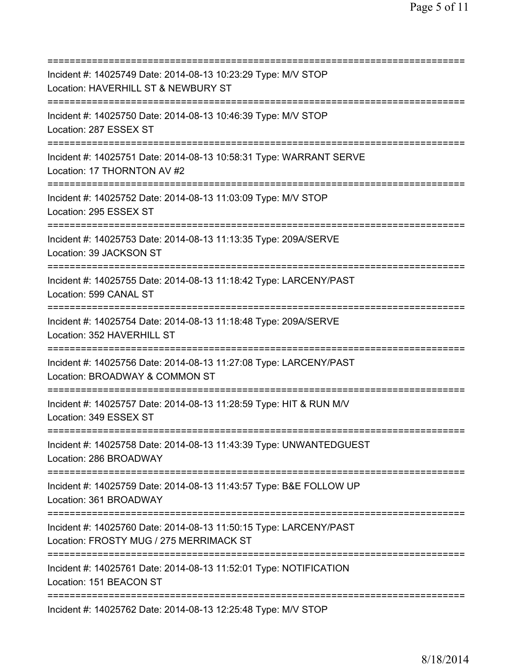| Incident #: 14025749 Date: 2014-08-13 10:23:29 Type: M/V STOP<br>Location: HAVERHILL ST & NEWBURY ST<br>============================                    |
|---------------------------------------------------------------------------------------------------------------------------------------------------------|
| Incident #: 14025750 Date: 2014-08-13 10:46:39 Type: M/V STOP<br>Location: 287 ESSEX ST                                                                 |
| Incident #: 14025751 Date: 2014-08-13 10:58:31 Type: WARRANT SERVE<br>Location: 17 THORNTON AV #2<br>================================                   |
| Incident #: 14025752 Date: 2014-08-13 11:03:09 Type: M/V STOP<br>Location: 295 ESSEX ST<br>=====================================                        |
| Incident #: 14025753 Date: 2014-08-13 11:13:35 Type: 209A/SERVE<br>Location: 39 JACKSON ST<br>=========================                                 |
| Incident #: 14025755 Date: 2014-08-13 11:18:42 Type: LARCENY/PAST<br>Location: 599 CANAL ST<br>===============================                          |
| Incident #: 14025754 Date: 2014-08-13 11:18:48 Type: 209A/SERVE<br>Location: 352 HAVERHILL ST                                                           |
| Incident #: 14025756 Date: 2014-08-13 11:27:08 Type: LARCENY/PAST<br>Location: BROADWAY & COMMON ST<br>=============                                    |
| Incident #: 14025757 Date: 2014-08-13 11:28:59 Type: HIT & RUN M/V<br>Location: 349 ESSEX ST                                                            |
| Incident #: 14025758 Date: 2014-08-13 11:43:39 Type: UNWANTEDGUEST<br>Location: 286 BROADWAY                                                            |
| Incident #: 14025759 Date: 2014-08-13 11:43:57 Type: B&E FOLLOW UP<br>Location: 361 BROADWAY                                                            |
| Incident #: 14025760 Date: 2014-08-13 11:50:15 Type: LARCENY/PAST<br>Location: FROSTY MUG / 275 MERRIMACK ST<br>=========================<br>========== |
| Incident #: 14025761 Date: 2014-08-13 11:52:01 Type: NOTIFICATION<br>Location: 151 BEACON ST                                                            |
| Incident #: 14025762 Date: 2014-08-13 12:25:48 Type: M/V STOP                                                                                           |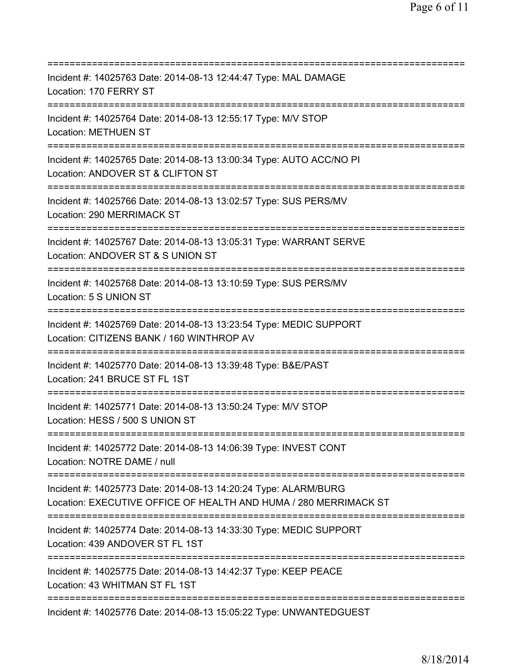=========================================================================== Incident #: 14025763 Date: 2014-08-13 12:44:47 Type: MAL DAMAGE Location: 170 FERRY ST =========================================================================== Incident #: 14025764 Date: 2014-08-13 12:55:17 Type: M/V STOP Location: METHUEN ST =========================================================================== Incident #: 14025765 Date: 2014-08-13 13:00:34 Type: AUTO ACC/NO PI Location: ANDOVER ST & CLIFTON ST =========================================================================== Incident #: 14025766 Date: 2014-08-13 13:02:57 Type: SUS PERS/MV Location: 290 MERRIMACK ST =========================================================================== Incident #: 14025767 Date: 2014-08-13 13:05:31 Type: WARRANT SERVE Location: ANDOVER ST & S UNION ST =========================================================================== Incident #: 14025768 Date: 2014-08-13 13:10:59 Type: SUS PERS/MV Location: 5 S UNION ST =========================================================================== Incident #: 14025769 Date: 2014-08-13 13:23:54 Type: MEDIC SUPPORT Location: CITIZENS BANK / 160 WINTHROP AV =========================================================================== Incident #: 14025770 Date: 2014-08-13 13:39:48 Type: B&E/PAST Location: 241 BRUCE ST FL 1ST =========================================================================== Incident #: 14025771 Date: 2014-08-13 13:50:24 Type: M/V STOP Location: HESS / 500 S UNION ST =========================================================================== Incident #: 14025772 Date: 2014-08-13 14:06:39 Type: INVEST CONT Location: NOTRE DAME / null =========================================================================== Incident #: 14025773 Date: 2014-08-13 14:20:24 Type: ALARM/BURG Location: EXECUTIVE OFFICE OF HEALTH AND HUMA / 280 MERRIMACK ST =========================================================================== Incident #: 14025774 Date: 2014-08-13 14:33:30 Type: MEDIC SUPPORT Location: 439 ANDOVER ST FL 1ST =========================================================================== Incident #: 14025775 Date: 2014-08-13 14:42:37 Type: KEEP PEACE Location: 43 WHITMAN ST FL 1ST =========================================================================== Incident #: 14025776 Date: 2014-08-13 15:05:22 Type: UNWANTEDGUEST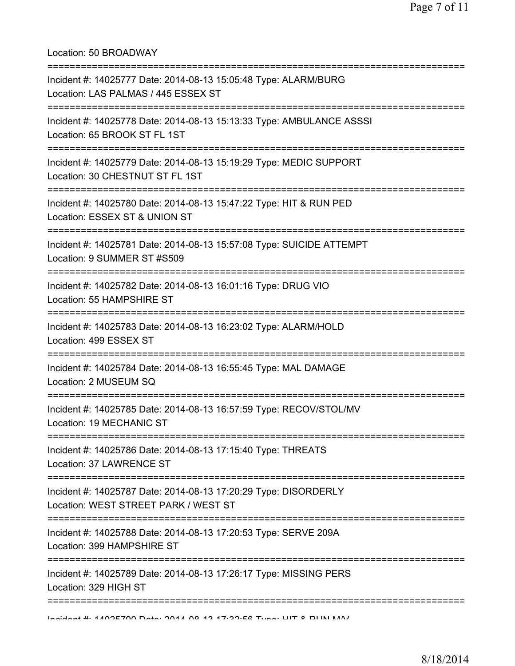Location: 50 BROADWAY =========================================================================== Incident #: 14025777 Date: 2014-08-13 15:05:48 Type: ALARM/BURG Location: LAS PALMAS / 445 ESSEX ST =========================================================================== Incident #: 14025778 Date: 2014-08-13 15:13:33 Type: AMBULANCE ASSSI Location: 65 BROOK ST FL 1ST =========================================================================== Incident #: 14025779 Date: 2014-08-13 15:19:29 Type: MEDIC SUPPORT Location: 30 CHESTNUT ST FL 1ST =========================================================================== Incident #: 14025780 Date: 2014-08-13 15:47:22 Type: HIT & RUN PED Location: ESSEX ST & UNION ST =========================================================================== Incident #: 14025781 Date: 2014-08-13 15:57:08 Type: SUICIDE ATTEMPT Location: 9 SUMMER ST #S509 =========================================================================== Incident #: 14025782 Date: 2014-08-13 16:01:16 Type: DRUG VIO Location: 55 HAMPSHIRE ST =========================================================================== Incident #: 14025783 Date: 2014-08-13 16:23:02 Type: ALARM/HOLD Location: 499 ESSEX ST =========================================================================== Incident #: 14025784 Date: 2014-08-13 16:55:45 Type: MAL DAMAGE Location: 2 MUSEUM SQ =========================================================================== Incident #: 14025785 Date: 2014-08-13 16:57:59 Type: RECOV/STOL/MV Location: 19 MECHANIC ST =========================================================================== Incident #: 14025786 Date: 2014-08-13 17:15:40 Type: THREATS Location: 37 LAWRENCE ST =========================================================================== Incident #: 14025787 Date: 2014-08-13 17:20:29 Type: DISORDERLY Location: WEST STREET PARK / WEST ST =========================================================================== Incident #: 14025788 Date: 2014-08-13 17:20:53 Type: SERVE 209A

Location: 399 HAMPSHIRE ST

===========================================================================

Incident #: 14025789 Date: 2014-08-13 17:26:17 Type: MISSING PERS Location: 329 HIGH ST

===========================================================================

Incident #: 14025790 Date: 2014 08 13 17:32:56 Type: HIT & RUN M/V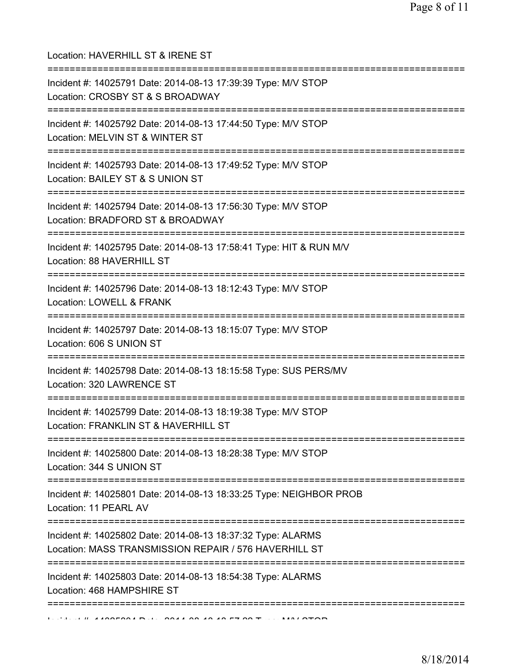| Location: HAVERHILL ST & IRENE ST<br>======================================                                                          |
|--------------------------------------------------------------------------------------------------------------------------------------|
| Incident #: 14025791 Date: 2014-08-13 17:39:39 Type: M/V STOP<br>Location: CROSBY ST & S BROADWAY<br>=============================== |
| Incident #: 14025792 Date: 2014-08-13 17:44:50 Type: M/V STOP<br>Location: MELVIN ST & WINTER ST                                     |
| Incident #: 14025793 Date: 2014-08-13 17:49:52 Type: M/V STOP<br>Location: BAILEY ST & S UNION ST                                    |
| Incident #: 14025794 Date: 2014-08-13 17:56:30 Type: M/V STOP<br>Location: BRADFORD ST & BROADWAY                                    |
| Incident #: 14025795 Date: 2014-08-13 17:58:41 Type: HIT & RUN M/V<br>Location: 88 HAVERHILL ST                                      |
| Incident #: 14025796 Date: 2014-08-13 18:12:43 Type: M/V STOP<br>Location: LOWELL & FRANK                                            |
| Incident #: 14025797 Date: 2014-08-13 18:15:07 Type: M/V STOP<br>Location: 606 S UNION ST                                            |
| Incident #: 14025798 Date: 2014-08-13 18:15:58 Type: SUS PERS/MV<br>Location: 320 LAWRENCE ST                                        |
| Incident #: 14025799 Date: 2014-08-13 18:19:38 Type: M/V STOP<br>Location: FRANKLIN ST & HAVERHILL ST                                |
| Incident #: 14025800 Date: 2014-08-13 18:28:38 Type: M/V STOP<br>Location: 344 S UNION ST                                            |
| Incident #: 14025801 Date: 2014-08-13 18:33:25 Type: NEIGHBOR PROB<br>Location: 11 PEARL AV                                          |
| Incident #: 14025802 Date: 2014-08-13 18:37:32 Type: ALARMS<br>Location: MASS TRANSMISSION REPAIR / 576 HAVERHILL ST                 |
| Incident #: 14025803 Date: 2014-08-13 18:54:38 Type: ALARMS<br>Location: 468 HAMPSHIRE ST                                            |
| :======================                                                                                                              |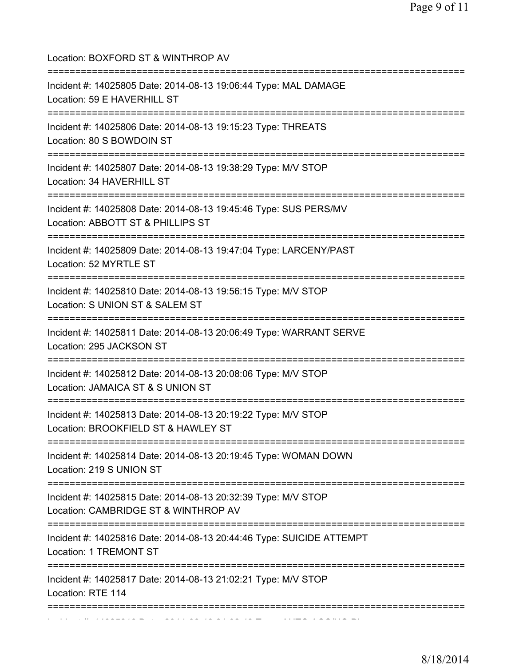| Location: BOXFORD ST & WINTHROP AV<br>=====================================                                                                    |
|------------------------------------------------------------------------------------------------------------------------------------------------|
| Incident #: 14025805 Date: 2014-08-13 19:06:44 Type: MAL DAMAGE<br>Location: 59 E HAVERHILL ST                                                 |
| Incident #: 14025806 Date: 2014-08-13 19:15:23 Type: THREATS<br>Location: 80 S BOWDOIN ST                                                      |
| Incident #: 14025807 Date: 2014-08-13 19:38:29 Type: M/V STOP<br>Location: 34 HAVERHILL ST                                                     |
| Incident #: 14025808 Date: 2014-08-13 19:45:46 Type: SUS PERS/MV<br>Location: ABBOTT ST & PHILLIPS ST                                          |
| Incident #: 14025809 Date: 2014-08-13 19:47:04 Type: LARCENY/PAST<br>Location: 52 MYRTLE ST                                                    |
| Incident #: 14025810 Date: 2014-08-13 19:56:15 Type: M/V STOP<br>Location: S UNION ST & SALEM ST                                               |
| Incident #: 14025811 Date: 2014-08-13 20:06:49 Type: WARRANT SERVE<br>Location: 295 JACKSON ST                                                 |
| ====================================<br>Incident #: 14025812 Date: 2014-08-13 20:08:06 Type: M/V STOP<br>Location: JAMAICA ST & S UNION ST     |
| Incident #: 14025813 Date: 2014-08-13 20:19:22 Type: M/V STOP<br>Location: BROOKFIELD ST & HAWLEY ST                                           |
| ==================================<br>Incident #: 14025814 Date: 2014-08-13 20:19:45 Type: WOMAN DOWN<br>Location: 219 S UNION ST              |
| ;====================================<br>Incident #: 14025815 Date: 2014-08-13 20:32:39 Type: M/V STOP<br>Location: CAMBRIDGE ST & WINTHROP AV |
| Incident #: 14025816 Date: 2014-08-13 20:44:46 Type: SUICIDE ATTEMPT<br>Location: 1 TREMONT ST                                                 |
| Incident #: 14025817 Date: 2014-08-13 21:02:21 Type: M/V STOP<br>Location: RTE 114                                                             |
|                                                                                                                                                |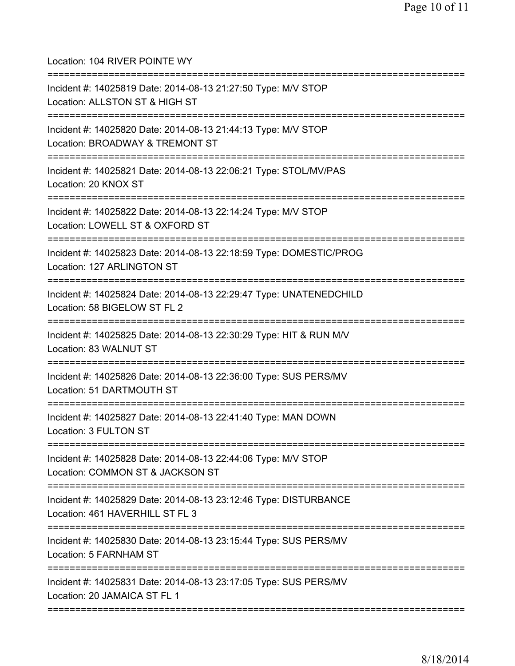Location: 104 RIVER POINTE WY =========================================================================== Incident #: 14025819 Date: 2014-08-13 21:27:50 Type: M/V STOP Location: ALLSTON ST & HIGH ST =========================================================================== Incident #: 14025820 Date: 2014-08-13 21:44:13 Type: M/V STOP Location: BROADWAY & TREMONT ST =========================================================================== Incident #: 14025821 Date: 2014-08-13 22:06:21 Type: STOL/MV/PAS Location: 20 KNOX ST =========================================================================== Incident #: 14025822 Date: 2014-08-13 22:14:24 Type: M/V STOP Location: LOWELL ST & OXFORD ST =========================================================================== Incident #: 14025823 Date: 2014-08-13 22:18:59 Type: DOMESTIC/PROG Location: 127 ARLINGTON ST =========================================================================== Incident #: 14025824 Date: 2014-08-13 22:29:47 Type: UNATENEDCHILD Location: 58 BIGELOW ST FL 2 =========================================================================== Incident #: 14025825 Date: 2014-08-13 22:30:29 Type: HIT & RUN M/V Location: 83 WALNUT ST =========================================================================== Incident #: 14025826 Date: 2014-08-13 22:36:00 Type: SUS PERS/MV Location: 51 DARTMOUTH ST =========================================================================== Incident #: 14025827 Date: 2014-08-13 22:41:40 Type: MAN DOWN Location: 3 FULTON ST =========================================================================== Incident #: 14025828 Date: 2014-08-13 22:44:06 Type: M/V STOP Location: COMMON ST & JACKSON ST =========================================================================== Incident #: 14025829 Date: 2014-08-13 23:12:46 Type: DISTURBANCE Location: 461 HAVERHILL ST FL 3 =========================================================================== Incident #: 14025830 Date: 2014-08-13 23:15:44 Type: SUS PERS/MV Location: 5 FARNHAM ST =========================================================================== Incident #: 14025831 Date: 2014-08-13 23:17:05 Type: SUS PERS/MV Location: 20 JAMAICA ST FL 1 ===========================================================================